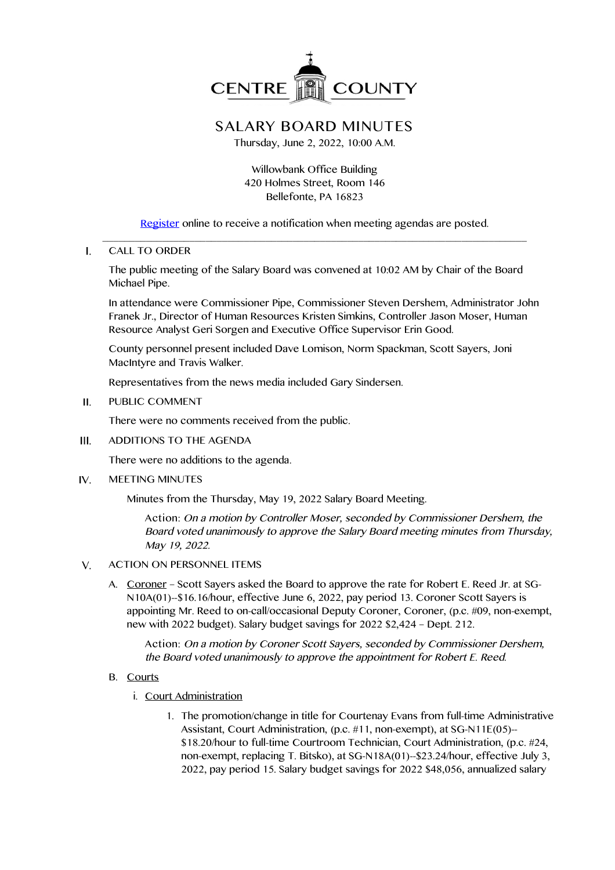

## **SALARY BOARD MINUTES**

Thursday, June 2, 2022, 10:00 A.M.

Willowbank Office Building 420 Holmes Street, Room 146 Bellefonte, PA 16823

Register online to receive a notification when meeting agendas are posted. \_\_\_\_\_\_\_\_\_\_\_\_\_\_\_\_\_\_\_\_\_\_\_\_\_\_\_\_\_\_\_\_\_\_\_\_\_\_\_\_\_\_\_\_\_\_\_\_\_\_\_\_\_\_\_\_\_\_\_\_\_\_\_\_\_\_\_\_\_\_\_\_\_\_\_\_\_\_

 $\mathbf{L}$ CALL TO ORDER

> The public meeting of the Salary Board was convened at 10:02 AM by Chair of the Board Michael Pipe.

In attendance were Commissioner Pipe, Commissioner Steven Dershem, Administrator John Franek Jr., Director of Human Resources Kristen Simkins, Controller Jason Moser, Human Resource Analyst Geri Sorgen and Executive Office Supervisor Erin Good.

County personnel present included Dave Lomison, Norm Spackman, Scott Sayers, Joni MacIntyre and Travis Walker.

Representatives from the news media included Gary Sindersen.

 $II.$ PUBLIC COMMENT

There were no comments received from the public.

 $\mathbf{H}$ ADDITIONS TO THE AGENDA

There were no additions to the agenda.

 $IV.$ MEETING MINUTES

Minutes from the Thursday, May 19, 2022 Salary Board Meeting.

**Action:** On <sup>a</sup> motion by Controller Moser, seconded by Commissioner Dershem, the Board voted unanimously to approve the Salary Board meeting minutes from Thursday, May 19, 2022.

- ACTION ON PERSONNEL ITEMS  $V_{\cdot}$ 
	- A. Coroner Scott Sayers asked the Board to approve the rate for Robert E. Reed Jr. at SG-N10A(01)--\$16.16/hour, effective June 6, 2022, pay period 13. Coroner Scott Sayers is appointing Mr. Reed to on-call/occasional Deputy Coroner, Coroner, (p.c. #09, non-exempt, new with 2022 budget). Salary budget savings for 2022 \$2,424 – Dept. 212.

**Action:** On <sup>a</sup> motion by Coroner Scott Sayers, seconded by Commissioner Dershem, the Board voted unanimously to approve the appointment for Robert E. Reed.

- B. Courts
	- i. Court Administration
		- 1. The promotion/change in title for Courtenay Evans from full-time Administrative Assistant, Court Administration, (p.c. #11, non-exempt), at SG-N11E(05)-- \$18.20/hour to full-time Courtroom Technician, Court Administration, (p.c. #24, non-exempt, replacing T. Bitsko), at SG-N18A(01)--\$23.24/hour, effective July 3, 2022, pay period 15. Salary budget savings for 2022 \$48,056, annualized salary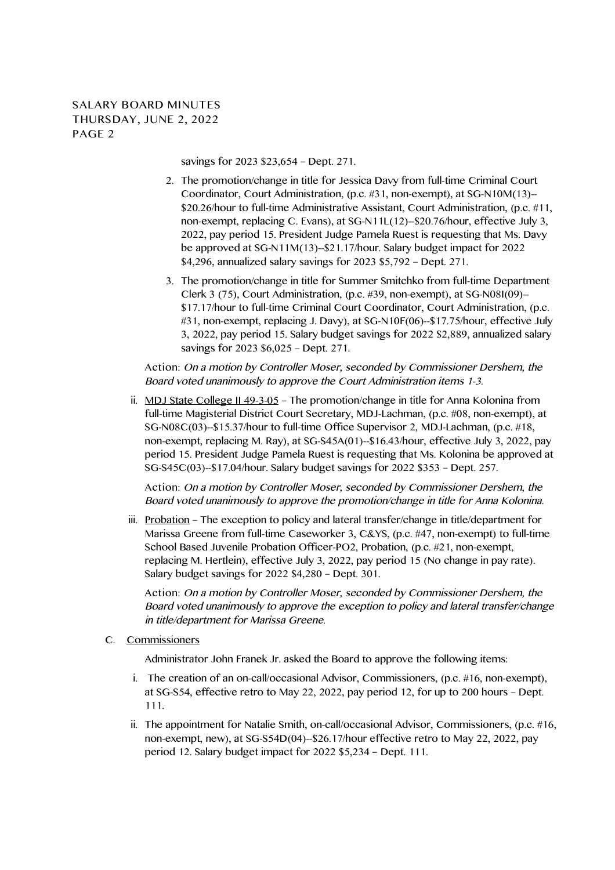**SALARY BOARD MINUTES THURSDAY, JUNE 2, 2022 PAGE 2**

savings for 2023 \$23,654 – Dept. 271.

- 2. The promotion/change in title for Jessica Davy from full-time Criminal Court Coordinator, Court Administration, (p.c. #31, non-exempt), at SG-N10M(13)-- \$20.26/hour to full-time Administrative Assistant, Court Administration, (p.c. #11, non-exempt, replacing C. Evans), at SG-N11L(12)--\$20.76/hour, effective July 3, 2022, pay period 15. President Judge Pamela Ruest is requesting that Ms. Davy be approved at SG-N11M(13)--\$21.17/hour. Salary budget impact for 2022 \$4,296, annualized salary savings for 2023 \$5,792 – Dept. 271.
- 3. The promotion/change in title for Summer Smitchko from full-time Department Clerk 3 (75), Court Administration, (p.c. #39, non-exempt), at SG-N08I(09)-- \$17.17/hour to full-time Criminal Court Coordinator, Court Administration, (p.c. #31, non-exempt, replacing J. Davy), at SG-N10F(06)--\$17.75/hour, effective July 3, 2022, pay period 15. Salary budget savings for 2022 \$2,889, annualized salary savings for 2023 \$6,025 – Dept. 271.

**Action:** On <sup>a</sup> motion by Controller Moser, seconded by Commissioner Dershem, the Board voted unanimously to approve the Court Administration items 1-3.

ii. MDJ State College II 49-3-05 - The promotion/change in title for Anna Kolonina from full-time Magisterial District Court Secretary, MDJ-Lachman, (p.c. #08, non-exempt), at SG-N08C(03)--\$15.37/hour to full-time Office Supervisor 2, MDJ-Lachman, (p.c. #18, non-exempt, replacing M. Ray), at SG-S45A(01)--\$16.43/hour, effective July 3, 2022, pay period 15. President Judge Pamela Ruest is requesting that Ms. Kolonina be approved at SG-S45C(03)--\$17.04/hour. Salary budget savings for 2022 \$353 – Dept. 257.

**Action:** On <sup>a</sup> motion by Controller Moser, seconded by Commissioner Dershem, the Board voted unanimously to approve the promotion/change in title for Anna Kolonina.

iii. Probation – The exception to policy and lateral transfer/change in title/department for Marissa Greene from full-time Caseworker 3, C&YS, (p.c. #47, non-exempt) to full-time School Based Juvenile Probation Officer-PO2, Probation, (p.c. #21, non-exempt, replacing M. Hertlein), effective July 3, 2022, pay period 15 (No change in pay rate). Salary budget savings for 2022 \$4,280 – Dept. 301.

**Action:** On <sup>a</sup> motion by Controller Moser, seconded by Commissioner Dershem, the Board voted unanimously to approve the exception to policy and lateral transfer/change in title/department for Marissa Greene.

C. Commissioners

Administrator John Franek Jr. asked the Board to approve the following items:

- i. The creation of an on-call/occasional Advisor, Commissioners, (p.c. #16, non-exempt), at SG-S54, effective retro to May 22, 2022, pay period 12, for up to 200 hours – Dept. 111.
- ii. The appointment for Natalie Smith, on-call/occasional Advisor, Commissioners, (p.c. #16, non-exempt, new), at SG-S54D(04)--\$26.17/hour effective retro to May 22, 2022, pay period 12. Salary budget impact for 2022 \$5,234 – Dept. 111.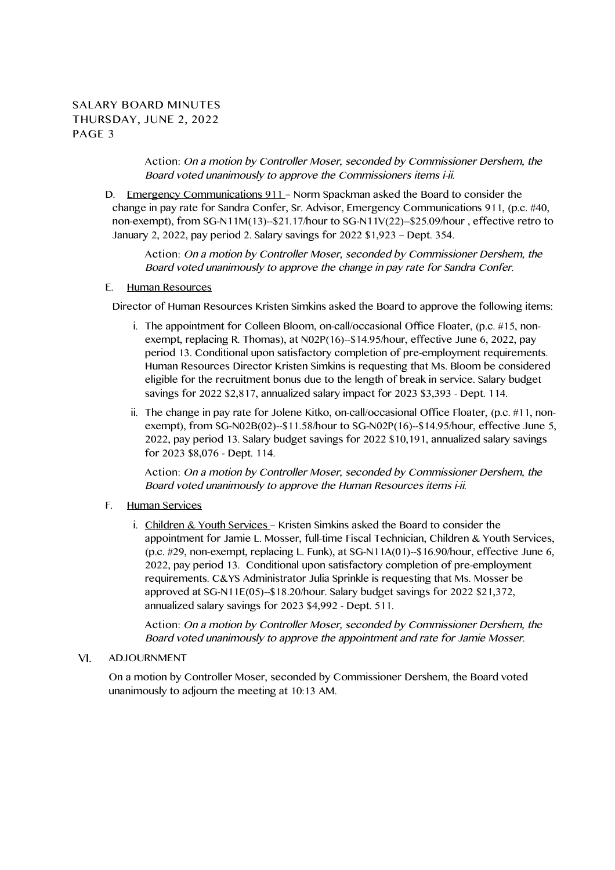## **SALARY BOARD MINUTES THURSDAY, JUNE 2, 2022 PAGE 3**

**Action:** On <sup>a</sup> motion by Controller Moser, seconded by Commissioner Dershem, the Board voted unanimously to approve the Commissioners items i-ii.

D. Emergency Communications 911 – Norm Spackman asked the Board to consider the change in pay rate for Sandra Confer, Sr. Advisor, Emergency Communications 911, (p.c. #40, non-exempt), from SG-N11M(13)--\$21.17/hour to SG-N11V(22)--\$25.09/hour , effective retro to January 2, 2022, pay period 2. Salary savings for 2022 \$1,923 – Dept. 354.

**Action:** On <sup>a</sup> motion by Controller Moser, seconded by Commissioner Dershem, the Board voted unanimously to approve the change in pay rate for Sandra Confer.

## E. Human Resources

Director of Human Resources Kristen Simkins asked the Board to approve the following items:

- i. The appointment for Colleen Bloom, on-call/occasional Office Floater, (p.c. #15, nonexempt, replacing R. Thomas), at N02P(16)--\$14.95/hour, effective June 6, 2022, pay period 13. Conditional upon satisfactory completion of pre-employment requirements. Human Resources Director Kristen Simkins is requesting that Ms. Bloom be considered eligible for the recruitment bonus due to the length of break in service. Salary budget savings for 2022 \$2,817, annualized salary impact for 2023 \$3,393 - Dept. 114.
- ii. The change in pay rate for Jolene Kitko, on-call/occasional Office Floater, (p.c. #11, nonexempt), from SG-N02B(02)- $$11.58/h$ our to SG-N02P(16)- $$14.95/h$ our, effective June 5, 2022, pay period 13. Salary budget savings for 2022 \$10,191, annualized salary savings for 2023 \$8,076 - Dept. 114.

**Action:** On <sup>a</sup> motion by Controller Moser, seconded by Commissioner Dershem, the Board voted unanimously to approve the Human Resources items i-ii.

- F. Human Services
	- i. Children & Youth Services Kristen Simkins asked the Board to consider the appointment for Jamie L. Mosser, full-time Fiscal Technician, Children & Youth Services, (p.c. #29, non-exempt, replacing L. Funk), at SG-N11A(01)--\$16.90/hour, effective June 6, 2022, pay period 13. Conditional upon satisfactory completion of pre-employment requirements. C&YS Administrator Julia Sprinkle is requesting that Ms. Mosser be approved at SG-N11E(05)--\$18.20/hour. Salary budget savings for 2022 \$21,372, annualized salary savings for 2023 \$4,992 - Dept. 511.

**Action:** On <sup>a</sup> motion by Controller Moser, seconded by Commissioner Dershem, the Board voted unanimously to approve the appointment and rate for Jamie Mosser.

## ADJOURNMENT  $VI.$

On a motion by Controller Moser, seconded by Commissioner Dershem, the Board voted unanimously to adjourn the meeting at 10:13 AM.